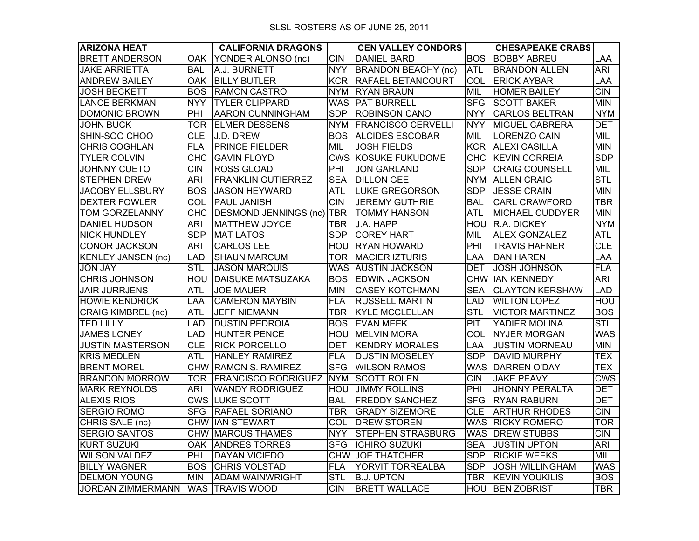| <b>ARIZONA HEAT</b>       |            | <b>CALIFORNIA DRAGONS</b>  |            | <b>CEN VALLEY CONDORS</b>  |            | <b>CHESAPEAKE CRABS</b> |                |
|---------------------------|------------|----------------------------|------------|----------------------------|------------|-------------------------|----------------|
| <b>BRETT ANDERSON</b>     | <b>OAK</b> | YONDER ALONSO (nc)         | <b>CIN</b> | <b>DANIEL BARD</b>         | <b>BOS</b> | <b>BOBBY ABREU</b>      | LAA            |
| <b>JAKE ARRIETTA</b>      | <b>BAL</b> | A.J. BURNETT               | <b>NYY</b> | <b>BRANDON BEACHY (nc)</b> | <b>ATL</b> | <b>BRANDON ALLEN</b>    | <b>ARI</b>     |
| <b>ANDREW BAILEY</b>      | OAK .      | <b>BILLY BUTLER</b>        | <b>KCR</b> | <b>RAFAEL BETANCOURT</b>   | COL.       | <b>ERICK AYBAR</b>      | LAA.           |
| <b>JOSH BECKETT</b>       | <b>BOS</b> | <b>RAMON CASTRO</b>        | <b>NYM</b> | <b>RYAN BRAUN</b>          | MIL        | <b>HOMER BAILEY</b>     | <b>CIN</b>     |
| <b>LANCE BERKMAN</b>      | <b>NYY</b> | <b>TYLER CLIPPARD</b>      |            | WAS   PAT BURRELL          | <b>SFG</b> | <b>SCOTT BAKER</b>      | <b>MIN</b>     |
| <b>DOMONIC BROWN</b>      | PHI        | <b>AARON CUNNINGHAM</b>    | <b>SDP</b> | <b>ROBINSON CANO</b>       | <b>NYY</b> | <b>CARLOS BELTRAN</b>   | <b>NYM</b>     |
| <b>JOHN BUCK</b>          | <b>TOR</b> | <b>ELMER DESSENS</b>       |            | NYM FRANCISCO CERVELLI     | <b>NYY</b> | <b>MIGUEL CABRERA</b>   | <b>DET</b>     |
| SHIN-SOO CHOO             | <b>CLE</b> | J.D. DREW                  | <b>BOS</b> | <b>ALCIDES ESCOBAR</b>     | MIL        | <b>LORENZO CAIN</b>     | MIL            |
| <b>CHRIS COGHLAN</b>      | <b>FLA</b> | <b>PRINCE FIELDER</b>      | MIL        | <b>JOSH FIELDS</b>         | <b>KCR</b> | <b>ALEXI CASILLA</b>    | <b>MIN</b>     |
| <b>TYLER COLVIN</b>       | <b>CHC</b> | <b>GAVIN FLOYD</b>         |            | <b>CWS KOSUKE FUKUDOME</b> | <b>CHC</b> | <b>KEVIN CORREIA</b>    | <b>SDP</b>     |
| <b>JOHNNY CUETO</b>       | <b>CIN</b> | <b>ROSS GLOAD</b>          | PHI        | JON GARLAND                | <b>SDP</b> | <b>CRAIG COUNSELL</b>   | MIL            |
| <b>STEPHEN DREW</b>       | <b>ARI</b> | <b>FRANKLIN GUTIERREZ</b>  | <b>SEA</b> | <b>DILLON GEE</b>          |            | NYM ALLEN CRAIG         | <b>STL</b>     |
| <b>JACOBY ELLSBURY</b>    | <b>BOS</b> | <b>JASON HEYWARD</b>       | <b>ATL</b> | <b>LUKE GREGORSON</b>      | <b>SDP</b> | <b>JESSE CRAIN</b>      | <b>MIN</b>     |
| <b>DEXTER FOWLER</b>      | COL        | <b>PAUL JANISH</b>         | <b>CIN</b> | <b>JEREMY GUTHRIE</b>      | <b>BAL</b> | <b>CARL CRAWFORD</b>    | <b>TBR</b>     |
| <b>TOM GORZELANNY</b>     | <b>CHC</b> | DESMOND JENNINGS (nc) TBR  |            | <b>TOMMY HANSON</b>        | ATL        | <b>MICHAEL CUDDYER</b>  | <b>MIN</b>     |
| <b>DANIEL HUDSON</b>      | <b>ARI</b> | <b>MATTHEW JOYCE</b>       | <b>TBR</b> | J.A. HAPP                  | HOU        | R.A. DICKEY             | <b>NYM</b>     |
| <b>NICK HUNDLEY</b>       | <b>SDP</b> | <b>MAT LATOS</b>           | <b>SDP</b> | <b>COREY HART</b>          | MIL        | <b>ALEX GONZALEZ</b>    | <b>ATL</b>     |
| <b>CONOR JACKSON</b>      | <b>ARI</b> | <b>CARLOS LEE</b>          |            | HOU RYAN HOWARD            | PHI        | <b>TRAVIS HAFNER</b>    | <b>CLE</b>     |
| <b>KENLEY JANSEN (nc)</b> | <b>LAD</b> | <b>SHAUN MARCUM</b>        | TOR.       | <b>MACIER IZTURIS</b>      | LAA.       | <b>DAN HAREN</b>        | LAA            |
| <b>JON JAY</b>            | <b>STL</b> | <b>JASON MARQUIS</b>       |            | WAS AUSTIN JACKSON         | DET        | <b>JOSH JOHNSON</b>     | <b>FLA</b>     |
| <b>CHRIS JOHNSON</b>      | HOU        | <b>DAISUKE MATSUZAKA</b>   |            | <b>BOS EDWIN JACKSON</b>   |            | <b>CHW IAN KENNEDY</b>  | <b>ARI</b>     |
| <b>JAIR JURRJENS</b>      | <b>ATL</b> | <b>JOE MAUER</b>           | <b>MIN</b> | <b>CASEY KOTCHMAN</b>      | <b>SEA</b> | <b>CLAYTON KERSHAW</b>  | <b>LAD</b>     |
| <b>HOWIE KENDRICK</b>     | LAA        | <b>CAMERON MAYBIN</b>      | <b>FLA</b> | <b>RUSSELL MARTIN</b>      | <b>LAD</b> | <b>WILTON LOPEZ</b>     | HOU            |
| <b>CRAIG KIMBREL (nc)</b> | <b>ATL</b> | <b>JEFF NIEMANN</b>        | <b>TBR</b> | <b>KYLE MCCLELLAN</b>      | STL        | <b>VICTOR MARTINEZ</b>  | <b>BOS</b>     |
| <b>TED LILLY</b>          | <b>LAD</b> | <b>DUSTIN PEDROIA</b>      | <b>BOS</b> | <b>EVAN MEEK</b>           | PIT        | YADIER MOLINA           | <b>STL</b>     |
| <b>JAMES LONEY</b>        | <b>LAD</b> | <b>HUNTER PENCE</b>        |            | <b>HOU MELVIN MORA</b>     | COL        | <b>NYJER MORGAN</b>     | <b>WAS</b>     |
| <b>JUSTIN MASTERSON</b>   | <b>CLE</b> | <b>RICK PORCELLO</b>       | DET        | <b>KENDRY MORALES</b>      | LAA        | <b>JUSTIN MORNEAU</b>   | <b>MIN</b>     |
| <b>KRIS MEDLEN</b>        | <b>ATL</b> | <b>HANLEY RAMIREZ</b>      | <b>FLA</b> | <b>DUSTIN MOSELEY</b>      | <b>SDP</b> | <b>DAVID MURPHY</b>     | <b>TEX</b>     |
| <b>BRENT MOREL</b>        | <b>CHW</b> | <b>RAMON S. RAMIREZ</b>    | <b>SFG</b> | <b>WILSON RAMOS</b>        |            | WAS DARREN O'DAY        | <b>TEX</b>     |
| <b>BRANDON MORROW</b>     | TOR        | <b>FRANCISCO RODRIGUEZ</b> | <b>NYM</b> | <b>SCOTT ROLEN</b>         | <b>CIN</b> | <b>JAKE PEAVY</b>       | <b>CWS</b>     |
| <b>MARK REYNOLDS</b>      | <b>ARI</b> | <b>WANDY RODRIGUEZ</b>     |            | <b>HOU JIMMY ROLLINS</b>   | PHI        | <b>JHONNY PERALTA</b>   | <b>DET</b>     |
| <b>ALEXIS RIOS</b>        |            | <b>CWS LUKE SCOTT</b>      | <b>BAL</b> | <b>FREDDY SANCHEZ</b>      | SFG.       | <b>RYAN RABURN</b>      | <b>DET</b>     |
| <b>SERGIO ROMO</b>        | <b>SFG</b> | <b>RAFAEL SORIANO</b>      | <b>TBR</b> | <b>GRADY SIZEMORE</b>      | <b>CLE</b> | <b>ARTHUR RHODES</b>    | <b>CIN</b>     |
| CHRIS SALE (nc)           | <b>CHW</b> | <b>IAN STEWART</b>         | COL        | <b>DREW STOREN</b>         |            | WAS RICKY ROMERO        | <b>TOR</b>     |
| <b>SERGIO SANTOS</b>      |            | <b>CHW MARCUS THAMES</b>   | <b>NYY</b> | <b>STEPHEN STRASBURG</b>   | <b>WAS</b> | <b>DREW STUBBS</b>      | $\overline{C}$ |
| <b>KURT SUZUKI</b>        | <b>OAK</b> | <b>ANDRES TORRES</b>       | <b>SFG</b> | <b>ICHIRO SUZUKI</b>       | <b>SEA</b> | <b>JUSTIN UPTON</b>     | <b>ARI</b>     |
| <b>WILSON VALDEZ</b>      | PHI        | <b>DAYAN VICIEDO</b>       |            | CHW JOE THATCHER           | <b>SDP</b> | <b>RICKIE WEEKS</b>     | MIL            |
| <b>BILLY WAGNER</b>       | <b>BOS</b> | <b>CHRIS VOLSTAD</b>       | <b>FLA</b> | YORVIT TORREALBA           | <b>SDP</b> | <b>JOSH WILLINGHAM</b>  | <b>WAS</b>     |
| <b>DELMON YOUNG</b>       | <b>MIN</b> | <b>ADAM WAINWRIGHT</b>     | <b>STL</b> | <b>B.J. UPTON</b>          | <b>TBR</b> | <b>KEVIN YOUKILIS</b>   | <b>BOS</b>     |
| <b>JORDAN ZIMMERMANN</b>  |            | <b>WAS TRAVIS WOOD</b>     | <b>CIN</b> | <b>BRETT WALLACE</b>       |            | HOU BEN ZOBRIST         | <b>TBR</b>     |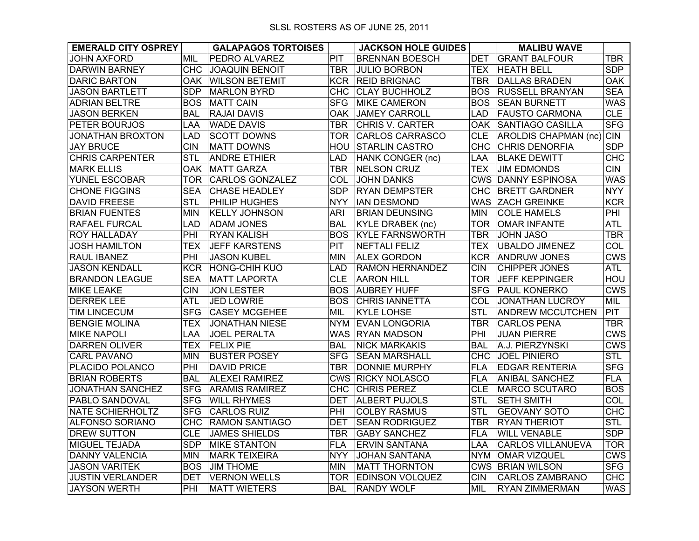| <b>EMERALD CITY OSPREY</b> |            | <b>GALAPAGOS TORTOISES</b> |            | <b>JACKSON HOLE GUIDES</b> |            | <b>MALIBU WAVE</b>        |            |
|----------------------------|------------|----------------------------|------------|----------------------------|------------|---------------------------|------------|
| JOHN AXFORD                | MIL        | PEDRO ALVAREZ              | <b>PIT</b> | <b>BRENNAN BOESCH</b>      | <b>DET</b> | <b>GRANT BALFOUR</b>      | <b>TBR</b> |
| <b>DARWIN BARNEY</b>       | <b>CHC</b> | <b>JOAQUIN BENOIT</b>      | <b>TBR</b> | <b>JULIO BORBON</b>        | <b>TEX</b> | <b>HEATH BELL</b>         | <b>SDP</b> |
| <b>DARIC BARTON</b>        | OAK.       | <b>WILSON BETEMIT</b>      | <b>KCR</b> | <b>REID BRIGNAC</b>        | <b>TBR</b> | <b>DALLAS BRADEN</b>      | <b>OAK</b> |
| <b>JASON BARTLETT</b>      | <b>SDP</b> | <b>MARLON BYRD</b>         | <b>CHC</b> | <b>CLAY BUCHHOLZ</b>       | <b>BOS</b> | <b>RUSSELL BRANYAN</b>    | <b>SEA</b> |
| <b>ADRIAN BELTRE</b>       | <b>BOS</b> | <b>MATT CAIN</b>           | <b>SFG</b> | <b>MIKE CAMERON</b>        | <b>BOS</b> | <b>SEAN BURNETT</b>       | <b>WAS</b> |
| <b>JASON BERKEN</b>        | <b>BAL</b> | <b>RAJAI DAVIS</b>         | OAK        | <b>JAMEY CARROLL</b>       | LAD.       | <b>FAUSTO CARMONA</b>     | CLE        |
| <b>PETER BOURJOS</b>       | LAA        | <b>WADE DAVIS</b>          | <b>TBR</b> | <b>CHRIS V. CARTER</b>     | <b>OAK</b> | <b>SANTIAGO CASILLA</b>   | <b>SFG</b> |
| <b>JONATHAN BROXTON</b>    | <b>LAD</b> | <b>SCOTT DOWNS</b>         | TOR        | <b>CARLOS CARRASCO</b>     | <b>CLE</b> | AROLDIS CHAPMAN (nc) CIN  |            |
| <b>JAY BRUCE</b>           | <b>CIN</b> | <b>MATT DOWNS</b>          | <b>HOU</b> | <b>STARLIN CASTRO</b>      | СНС.       | <b>CHRIS DENORFIA</b>     | <b>SDP</b> |
| <b>CHRIS CARPENTER</b>     | <b>STL</b> | <b>ANDRE ETHIER</b>        | LAD        | HANK CONGER (nc)           | LAA        | <b>BLAKE DEWITT</b>       | CHC        |
| <b>MARK ELLIS</b>          | <b>OAK</b> | MATT GARZA                 | <b>TBR</b> | <b>NELSON CRUZ</b>         | <b>TEX</b> | <b>JIM EDMONDS</b>        | <b>CIN</b> |
| <b>YUNEL ESCOBAR</b>       | <b>TOR</b> | CARLOS GONZALEZ            | COL        | <b>JOHN DANKS</b>          |            | <b>CWS DANNY ESPINOSA</b> | <b>WAS</b> |
| <b>CHONE FIGGINS</b>       | <b>SEA</b> | <b>CHASE HEADLEY</b>       | <b>SDP</b> | <b>RYAN DEMPSTER</b>       | СНС        | <b>BRETT GARDNER</b>      | <b>NYY</b> |
| <b>DAVID FREESE</b>        | <b>STL</b> | PHILIP HUGHES              | NYY .      | <b>IAN DESMOND</b>         | WAS        | <b>ZACH GREINKE</b>       | <b>KCR</b> |
| <b>BRIAN FUENTES</b>       | <b>MIN</b> | <b>KELLY JOHNSON</b>       | <b>ARI</b> | <b>BRIAN DEUNSING</b>      | MIN        | <b>COLE HAMELS</b>        | PHI        |
| <b>RAFAEL FURCAL</b>       | <b>LAD</b> | <b>ADAM JONES</b>          | <b>BAL</b> | <b>KYLE DRABEK (nc)</b>    | TOR        | <b>OMAR INFANTE</b>       | <b>ATL</b> |
| <b>ROY HALLADAY</b>        | PHI        | <b>RYAN KALISH</b>         |            | <b>BOS KYLE FARNSWORTH</b> | <b>TBR</b> | <b>JOHN JASO</b>          | <b>TBR</b> |
| <b>JOSH HAMILTON</b>       | TEX        | <b>JEFF KARSTENS</b>       | <b>PIT</b> | <b>NEFTALI FELIZ</b>       | TEX        | <b>UBALDO JIMENEZ</b>     | COL        |
| <b>RAUL IBANEZ</b>         | PHI        | <b>JASON KUBEL</b>         | <b>MIN</b> | <b>ALEX GORDON</b>         |            | <b>KCR ANDRUW JONES</b>   | <b>CWS</b> |
| <b>JASON KENDALL</b>       | <b>KCR</b> | <b>HONG-CHIH KUO</b>       | LAD        | RAMON HERNANDEZ            | <b>CIN</b> | <b>CHIPPER JONES</b>      | ATL        |
| <b>BRANDON LEAGUE</b>      | <b>SEA</b> | <b>MATT LAPORTA</b>        | <b>CLE</b> | <b>AARON HILL</b>          | TOR        | <b>JEFF KEPPINGER</b>     | HOU        |
| <b>MIKE LEAKE</b>          | <b>CIN</b> | <b>JON LESTER</b>          |            | <b>BOS AUBREY HUFF</b>     | <b>SFG</b> | <b>PAUL KONERKO</b>       | <b>CWS</b> |
| <b>DERREK LEE</b>          | <b>ATL</b> | <b>JED LOWRIE</b>          |            | <b>BOS CHRIS IANNETTA</b>  | COL        | <b>JONATHAN LUCROY</b>    | <b>MIL</b> |
| <b>TIM LINCECUM</b>        | <b>SFG</b> | <b>CASEY MCGEHEE</b>       | MIL        | <b>KYLE LOHSE</b>          | <b>STL</b> | <b>ANDREW MCCUTCHEN</b>   | PIT        |
| <b>BENGIE MOLINA</b>       | <b>TEX</b> | <b>JONATHAN NIESE</b>      |            | NYM EVAN LONGORIA          | TBR        | <b>CARLOS PENA</b>        | <b>TBR</b> |
| <b>MIKE NAPOLI</b>         | <b>LAA</b> | <b>JOEL PERALTA</b>        |            | WAS RYAN MADSON            | PHI        | <b>JUAN PIERRE</b>        | <b>CWS</b> |
| <b>DARREN OLIVER</b>       | <b>TEX</b> | <b>FELIX PIE</b>           | BAL.       | <b>NICK MARKAKIS</b>       | BAL        | A.J. PIERZYNSKI           | <b>CWS</b> |
| <b>CARL PAVANO</b>         | <b>MIN</b> | <b>BUSTER POSEY</b>        |            | SFG SEAN MARSHALL          | <b>CHC</b> | <b>JOEL PINIERO</b>       | STL        |
| <b>PLACIDO POLANCO</b>     | PHI        | <b>DAVID PRICE</b>         | <b>TBR</b> | <b>DONNIE MURPHY</b>       | FLA.       | <b>EDGAR RENTERIA</b>     | <b>SFG</b> |
| <b>BRIAN ROBERTS</b>       | <b>BAL</b> | <b>ALEXEI RAMIREZ</b>      |            | <b>CWS RICKY NOLASCO</b>   | <b>FLA</b> | <b>ANIBAL SANCHEZ</b>     | <b>FLA</b> |
| <b>JONATHAN SANCHEZ</b>    | <b>SFG</b> | <b>ARAMIS RAMIREZ</b>      |            | CHC CHRIS PEREZ            | <b>CLE</b> | MARCO SCUTARO             | <b>BOS</b> |
| PABLO SANDOVAL             | <b>SFG</b> | <b>WILL RHYMES</b>         | <b>DET</b> | <b>ALBERT PUJOLS</b>       | <b>STL</b> | <b>SETH SMITH</b>         | COL        |
| <b>NATE SCHIERHOLTZ</b>    | <b>SFG</b> | <b>CARLOS RUIZ</b>         | PHI        | <b>COLBY RASMUS</b>        | <b>STL</b> | <b>GEOVANY SOTO</b>       | <b>CHC</b> |
| <b>ALFONSO SORIANO</b>     | <b>CHC</b> | <b>RAMON SANTIAGO</b>      | DET        | <b>SEAN RODRIGUEZ</b>      | <b>TBR</b> | <b>RYAN THERIOT</b>       | <b>STL</b> |
| <b>DREW SUTTON</b>         | <b>CLE</b> | <b>JAMES SHIELDS</b>       | <b>TBR</b> | <b>GABY SANCHEZ</b>        | <b>FLA</b> | <b>WILL VENABLE</b>       | <b>SDP</b> |
| <b>MIGUEL TEJADA</b>       | <b>SDP</b> | <b>MIKE STANTON</b>        | <b>FLA</b> | <b>ERVIN SANTANA</b>       | LAA        | <b>CARLOS VILLANUEVA</b>  | <b>TOR</b> |
| <b>DANNY VALENCIA</b>      | <b>MIN</b> | <b>MARK TEIXEIRA</b>       | NYY.       | <b>JOHAN SANTANA</b>       | <b>NYM</b> | <b>OMAR VIZQUEL</b>       | <b>CWS</b> |
| <b>JASON VARITEK</b>       | <b>BOS</b> | <b>JIM THOME</b>           | <b>MIN</b> | <b>MATT THORNTON</b>       |            | <b>CWS BRIAN WILSON</b>   | <b>SFG</b> |
| <b>JUSTIN VERLANDER</b>    | <b>DET</b> | <b>VERNON WELLS</b>        | TOR        | <b>EDINSON VOLQUEZ</b>     | <b>CIN</b> | <b>CARLOS ZAMBRANO</b>    | <b>CHC</b> |
| <b>JAYSON WERTH</b>        | PHI        | <b>MATT WIETERS</b>        | <b>BAL</b> | <b>RANDY WOLF</b>          | MIL        | <b>RYAN ZIMMERMAN</b>     | <b>WAS</b> |